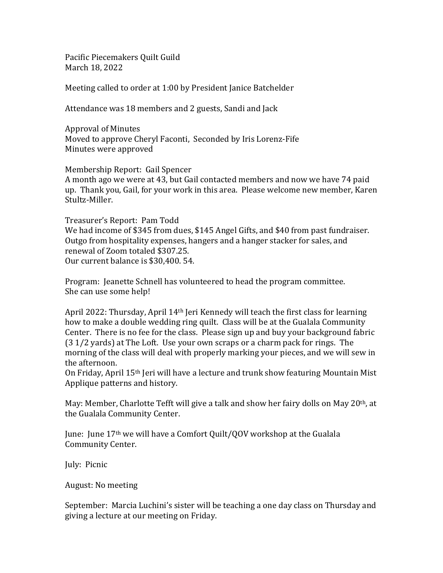Pacific Piecemakers Quilt Guild March 18, 2022

Meeting called to order at 1:00 by President Janice Batchelder

Attendance was 18 members and 2 guests, Sandi and Jack

Approval of Minutes Moved to approve Cheryl Faconti, Seconded by Iris Lorenz-Fife Minutes were approved

Membership Report: Gail Spencer A month ago we were at 43, but Gail contacted members and now we have 74 paid up. Thank you, Gail, for your work in this area. Please welcome new member, Karen Stultz-Miller.

Treasurer's Report: Pam Todd We had income of \$345 from dues, \$145 Angel Gifts, and \$40 from past fundraiser. Outgo from hospitality expenses, hangers and a hanger stacker for sales, and renewal of Zoom totaled \$307.25. Our current balance is \$30,400. 54.

Program: Jeanette Schnell has volunteered to head the program committee. She can use some help!

April 2022: Thursday, April  $14<sup>th</sup>$  Jeri Kennedy will teach the first class for learning how to make a double wedding ring quilt. Class will be at the Gualala Community Center. There is no fee for the class. Please sign up and buy your background fabric (3 1/2 yards) at The Loft. Use your own scraps or a charm pack for rings. The morning of the class will deal with properly marking your pieces, and we will sew in the afternoon.

On Friday, April 15th Jeri will have a lecture and trunk show featuring Mountain Mist Applique patterns and history.

May: Member, Charlotte Tefft will give a talk and show her fairy dolls on May 20th, at the Gualala Community Center.

June: June 17th we will have a Comfort Quilt/QOV workshop at the Gualala Community Center.

July: Picnic

August: No meeting

September: Marcia Luchini's sister will be teaching a one day class on Thursday and giving a lecture at our meeting on Friday.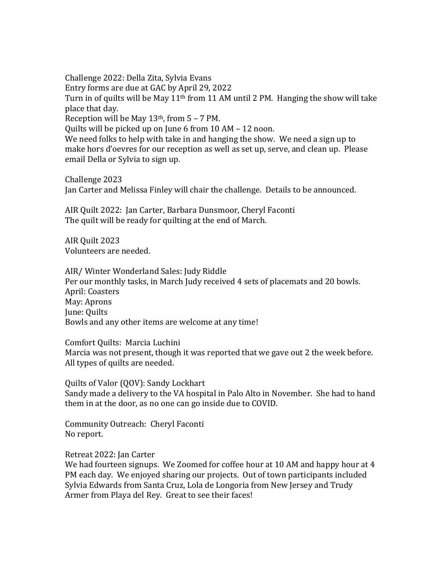Challenge 2022: Della Zita, Sylvia Evans Entry forms are due at GAC by April 29, 2022 Turn in of quilts will be May  $11<sup>th</sup>$  from 11 AM until 2 PM. Hanging the show will take place that day. Reception will be May  $13<sup>th</sup>$ , from  $5 - 7$  PM. Quilts will be picked up on June 6 from 10 AM – 12 noon. We need folks to help with take in and hanging the show. We need a sign up to make hors d'oevres for our reception as well as set up, serve, and clean up. Please email Della or Sylvia to sign up.

Challenge 2023 Jan Carter and Melissa Finley will chair the challenge. Details to be announced.

AIR Quilt 2022: Jan Carter, Barbara Dunsmoor, Cheryl Faconti The quilt will be ready for quilting at the end of March.

AIR Quilt 2023 Volunteers are needed.

AIR/ Winter Wonderland Sales: Judy Riddle Per our monthly tasks, in March Judy received 4 sets of placemats and 20 bowls. April: Coasters May: Aprons June: Quilts Bowls and any other items are welcome at any time!

Comfort Quilts: Marcia Luchini Marcia was not present, though it was reported that we gave out 2 the week before. All types of quilts are needed.

Quilts of Valor (QOV): Sandy Lockhart Sandy made a delivery to the VA hospital in Palo Alto in November. She had to hand them in at the door, as no one can go inside due to COVID.

Community Outreach: Cheryl Faconti No report.

Retreat 2022: Jan Carter

We had fourteen signups. We Zoomed for coffee hour at 10 AM and happy hour at 4 PM each day. We enjoyed sharing our projects. Out of town participants included Sylvia Edwards from Santa Cruz, Lola de Longoria from New Jersey and Trudy Armer from Playa del Rey. Great to see their faces!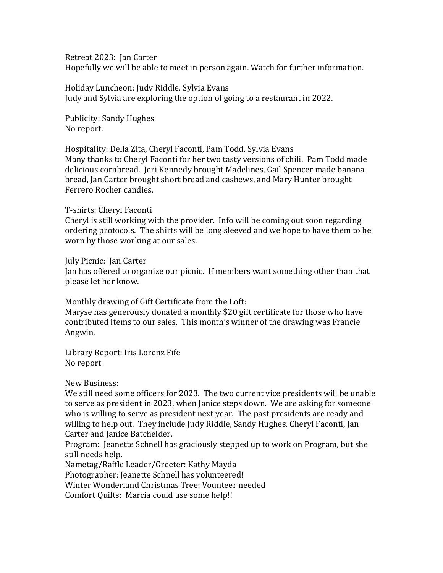Retreat 2023: Jan Carter

Hopefully we will be able to meet in person again. Watch for further information.

Holiday Luncheon: Judy Riddle, Sylvia Evans Judy and Sylvia are exploring the option of going to a restaurant in 2022.

Publicity: Sandy Hughes No report.

Hospitality: Della Zita, Cheryl Faconti, Pam Todd, Sylvia Evans Many thanks to Cheryl Faconti for her two tasty versions of chili. Pam Todd made delicious cornbread. Jeri Kennedy brought Madelines, Gail Spencer made banana bread, Jan Carter brought short bread and cashews, and Mary Hunter brought Ferrero Rocher candies.

## T-shirts: Cheryl Faconti

Cheryl is still working with the provider. Info will be coming out soon regarding ordering protocols. The shirts will be long sleeved and we hope to have them to be worn by those working at our sales.

July Picnic: Jan Carter

Jan has offered to organize our picnic. If members want something other than that please let her know.

Monthly drawing of Gift Certificate from the Loft:

Maryse has generously donated a monthly \$20 gift certificate for those who have contributed items to our sales. This month's winner of the drawing was Francie Angwin.

Library Report: Iris Lorenz Fife No report

New Business:

We still need some officers for 2023. The two current vice presidents will be unable to serve as president in 2023, when Janice steps down. We are asking for someone who is willing to serve as president next year. The past presidents are ready and willing to help out. They include Judy Riddle, Sandy Hughes, Cheryl Faconti, Jan Carter and Janice Batchelder.

Program: Jeanette Schnell has graciously stepped up to work on Program, but she still needs help.

Nametag/Raffle Leader/Greeter: Kathy Mayda

Photographer: Jeanette Schnell has volunteered!

Winter Wonderland Christmas Tree: Vounteer needed

Comfort Quilts: Marcia could use some help!!